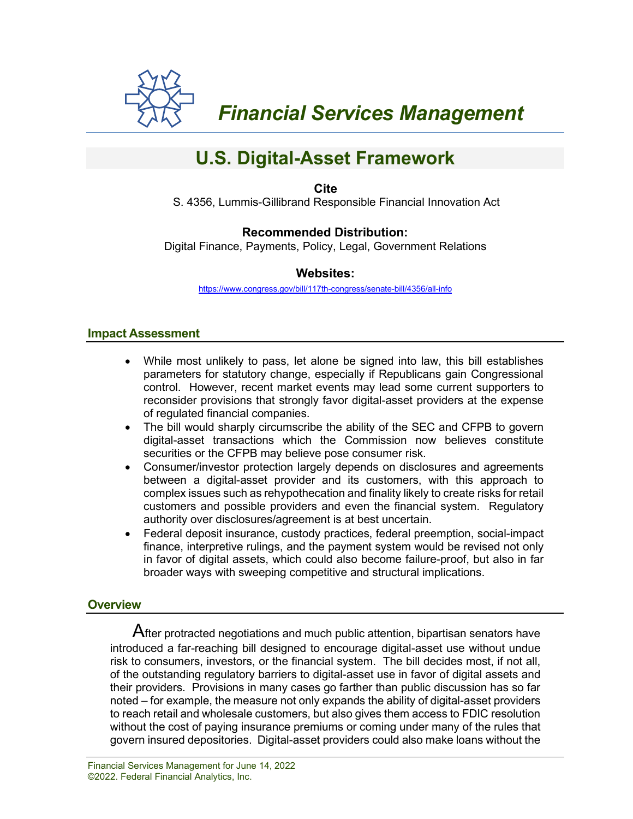

 *Financial Services Management* 

# **U.S. Digital-Asset Framework**

**Cite** S. 4356, Lummis-Gillibrand Responsible Financial Innovation Act

# **Recommended Distribution:**

Digital Finance, Payments, Policy, Legal, Government Relations

#### **Websites:**

<https://www.congress.gov/bill/117th-congress/senate-bill/4356/all-info>

#### **Impact Assessment**

- While most unlikely to pass, let alone be signed into law, this bill establishes parameters for statutory change, especially if Republicans gain Congressional control. However, recent market events may lead some current supporters to reconsider provisions that strongly favor digital-asset providers at the expense of regulated financial companies.
- The bill would sharply circumscribe the ability of the SEC and CFPB to govern digital-asset transactions which the Commission now believes constitute securities or the CFPB may believe pose consumer risk.
- Consumer/investor protection largely depends on disclosures and agreements between a digital-asset provider and its customers, with this approach to complex issues such as rehypothecation and finality likely to create risks for retail customers and possible providers and even the financial system. Regulatory authority over disclosures/agreement is at best uncertain.
- Federal deposit insurance, custody practices, federal preemption, social-impact finance, interpretive rulings, and the payment system would be revised not only in favor of digital assets, which could also become failure-proof, but also in far broader ways with sweeping competitive and structural implications.

## **Overview**

 $\mathsf A$ fter protracted negotiations and much public attention, bipartisan senators have introduced a far-reaching bill designed to encourage digital-asset use without undue risk to consumers, investors, or the financial system. The bill decides most, if not all, of the outstanding regulatory barriers to digital-asset use in favor of digital assets and their providers. Provisions in many cases go farther than public discussion has so far noted – for example, the measure not only expands the ability of digital-asset providers to reach retail and wholesale customers, but also gives them access to FDIC resolution without the cost of paying insurance premiums or coming under many of the rules that govern insured depositories. Digital-asset providers could also make loans without the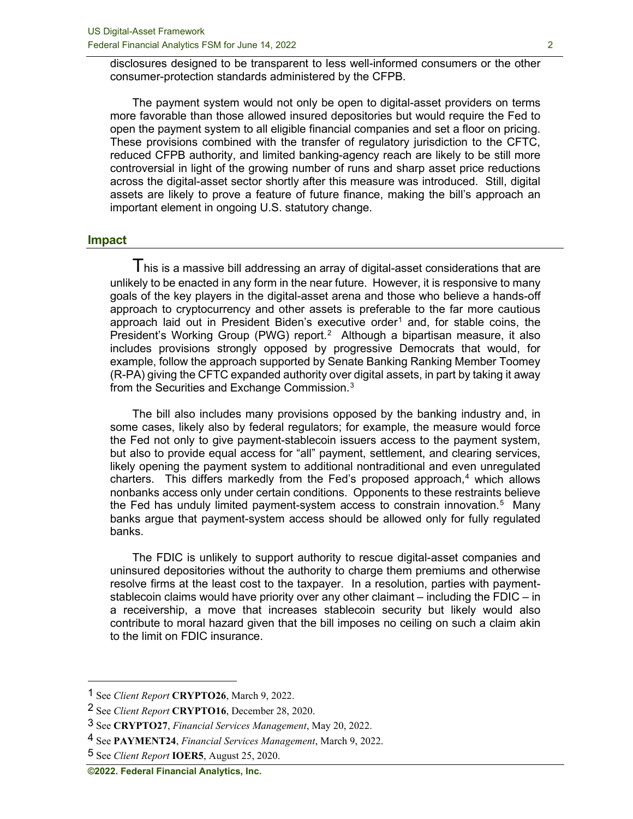disclosures designed to be transparent to less well-informed consumers or the other consumer-protection standards administered by the CFPB.

The payment system would not only be open to digital-asset providers on terms more favorable than those allowed insured depositories but would require the Fed to open the payment system to all eligible financial companies and set a floor on pricing. These provisions combined with the transfer of regulatory jurisdiction to the CFTC, reduced CFPB authority, and limited banking-agency reach are likely to be still more controversial in light of the growing number of runs and sharp asset price reductions across the digital-asset sector shortly after this measure was introduced. Still, digital assets are likely to prove a feature of future finance, making the bill's approach an important element in ongoing U.S. statutory change.

#### **Impact**

This is a massive bill addressing an array of digital-asset considerations that are unlikely to be enacted in any form in the near future. However, it is responsive to many goals of the key players in the digital-asset arena and those who believe a hands-off approach to cryptocurrency and other assets is preferable to the far more cautious approach laid out in President Biden's executive order<sup>[1](#page-1-0)</sup> and, for stable coins, the President's Working Group (PWG) report.<sup>[2](#page-1-1)</sup> Although a bipartisan measure, it also includes provisions strongly opposed by progressive Democrats that would, for example, follow the approach supported by Senate Banking Ranking Member Toomey (R-PA) giving the CFTC expanded authority over digital assets, in part by taking it away from the Securities and Exchange Commission. $^3$  $^3$ 

The bill also includes many provisions opposed by the banking industry and, in some cases, likely also by federal regulators; for example, the measure would force the Fed not only to give payment-stablecoin issuers access to the payment system, but also to provide equal access for "all" payment, settlement, and clearing services, likely opening the payment system to additional nontraditional and even unregulated charters. This differs markedly from the Fed's proposed approach, $4$  which allows nonbanks access only under certain conditions. Opponents to these restraints believe the Fed has unduly limited payment-system access to constrain innovation.<sup>[5](#page-1-4)</sup> Many banks argue that payment-system access should be allowed only for fully regulated banks.

The FDIC is unlikely to support authority to rescue digital-asset companies and uninsured depositories without the authority to charge them premiums and otherwise resolve firms at the least cost to the taxpayer. In a resolution, parties with paymentstablecoin claims would have priority over any other claimant – including the FDIC – in a receivership, a move that increases stablecoin security but likely would also contribute to moral hazard given that the bill imposes no ceiling on such a claim akin to the limit on FDIC insurance.

<span id="page-1-0"></span><sup>1</sup> See *Client Report* **CRYPTO26**, March 9, 2022.

<span id="page-1-1"></span><sup>2</sup> See *Client Report* **CRYPTO16**, December 28, 2020.

<span id="page-1-2"></span><sup>3</sup> See **CRYPTO27**, *Financial Services Management*, May 20, 2022.

<span id="page-1-3"></span><sup>4</sup> See **PAYMENT24**, *Financial Services Management*, March 9, 2022.

<span id="page-1-4"></span><sup>5</sup> See *Client Report* **IOER5**, August 25, 2020.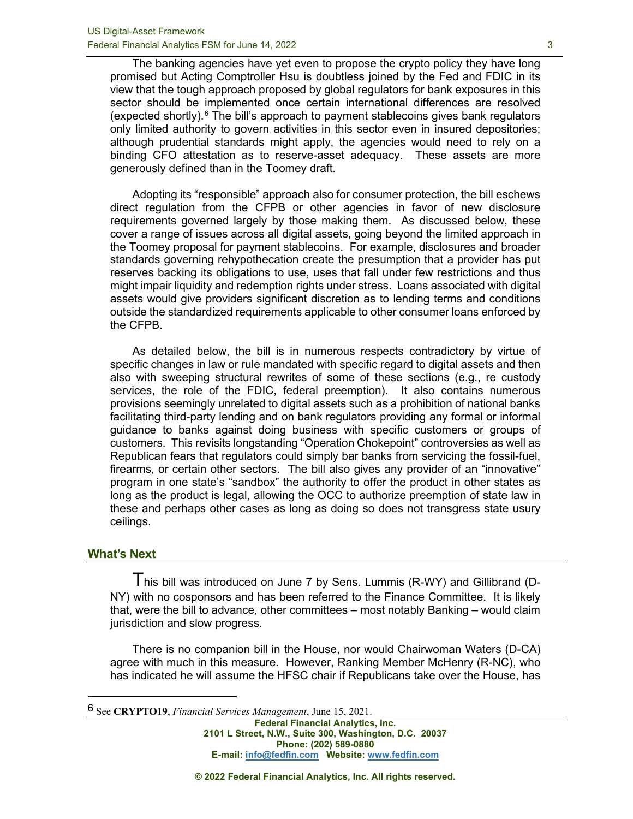The banking agencies have yet even to propose the crypto policy they have long promised but Acting Comptroller Hsu is doubtless joined by the Fed and FDIC in its view that the tough approach proposed by global regulators for bank exposures in this sector should be implemented once certain international differences are resolved (expected shortly). $6$  The bill's approach to payment stablecoins gives bank regulators only limited authority to govern activities in this sector even in insured depositories; although prudential standards might apply, the agencies would need to rely on a binding CFO attestation as to reserve-asset adequacy. These assets are more generously defined than in the Toomey draft.

Adopting its "responsible" approach also for consumer protection, the bill eschews direct regulation from the CFPB or other agencies in favor of new disclosure requirements governed largely by those making them. As discussed below, these cover a range of issues across all digital assets, going beyond the limited approach in the Toomey proposal for payment stablecoins. For example, disclosures and broader standards governing rehypothecation create the presumption that a provider has put reserves backing its obligations to use, uses that fall under few restrictions and thus might impair liquidity and redemption rights under stress. Loans associated with digital assets would give providers significant discretion as to lending terms and conditions outside the standardized requirements applicable to other consumer loans enforced by the CFPB.

As detailed below, the bill is in numerous respects contradictory by virtue of specific changes in law or rule mandated with specific regard to digital assets and then also with sweeping structural rewrites of some of these sections (e.g., re custody services, the role of the FDIC, federal preemption). It also contains numerous provisions seemingly unrelated to digital assets such as a prohibition of national banks facilitating third-party lending and on bank regulators providing any formal or informal guidance to banks against doing business with specific customers or groups of customers. This revisits longstanding "Operation Chokepoint" controversies as well as Republican fears that regulators could simply bar banks from servicing the fossil-fuel, firearms, or certain other sectors. The bill also gives any provider of an "innovative" program in one state's "sandbox" the authority to offer the product in other states as long as the product is legal, allowing the OCC to authorize preemption of state law in these and perhaps other cases as long as doing so does not transgress state usury ceilings.

#### **What's Next**

I his bill was introduced on June 7 by Sens. Lummis (R-WY) and Gillibrand (D-NY) with no cosponsors and has been referred to the Finance Committee. It is likely that, were the bill to advance, other committees – most notably Banking – would claim jurisdiction and slow progress.

There is no companion bill in the House, nor would Chairwoman Waters (D-CA) agree with much in this measure. However, Ranking Member McHenry (R-NC), who has indicated he will assume the HFSC chair if Republicans take over the House, has

<span id="page-2-0"></span>6 See **CRYPTO19**, *Financial Services Management*, June 15, 2021.

**Federal Financial Analytics, Inc. 2101 L Street, N.W., Suite 300, Washington, D.C. 20037 Phone: (202) 589-0880 E-mail: [info@fedfin.com](mailto:info@fedfin.com) Website[: www.fedfin.com](http://www.fedfin.com/)**

**© 2022 Federal Financial Analytics, Inc. All rights reserved.**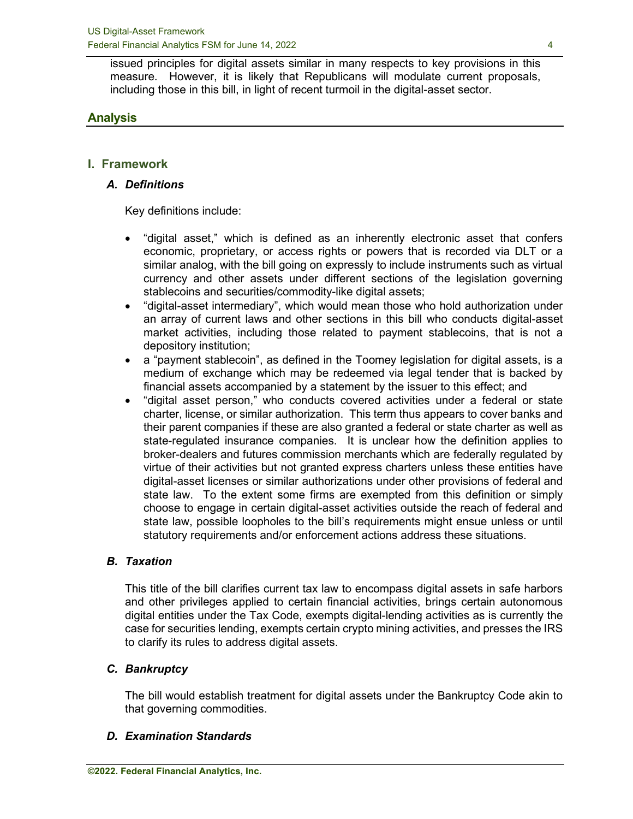issued principles for digital assets similar in many respects to key provisions in this measure. However, it is likely that Republicans will modulate current proposals, including those in this bill, in light of recent turmoil in the digital-asset sector.

# **Analysis**

# **I. Framework**

# *A. Definitions*

Key definitions include:

- "digital asset," which is defined as an inherently electronic asset that confers economic, proprietary, or access rights or powers that is recorded via DLT or a similar analog, with the bill going on expressly to include instruments such as virtual currency and other assets under different sections of the legislation governing stablecoins and securities/commodity-like digital assets;
- "digital-asset intermediary", which would mean those who hold authorization under an array of current laws and other sections in this bill who conducts digital-asset market activities, including those related to payment stablecoins, that is not a depository institution;
- a "payment stablecoin", as defined in the Toomey legislation for digital assets, is a medium of exchange which may be redeemed via legal tender that is backed by financial assets accompanied by a statement by the issuer to this effect; and
- "digital asset person," who conducts covered activities under a federal or state charter, license, or similar authorization. This term thus appears to cover banks and their parent companies if these are also granted a federal or state charter as well as state-regulated insurance companies. It is unclear how the definition applies to broker-dealers and futures commission merchants which are federally regulated by virtue of their activities but not granted express charters unless these entities have digital-asset licenses or similar authorizations under other provisions of federal and state law. To the extent some firms are exempted from this definition or simply choose to engage in certain digital-asset activities outside the reach of federal and state law, possible loopholes to the bill's requirements might ensue unless or until statutory requirements and/or enforcement actions address these situations.

## *B. Taxation*

This title of the bill clarifies current tax law to encompass digital assets in safe harbors and other privileges applied to certain financial activities, brings certain autonomous digital entities under the Tax Code, exempts digital-lending activities as is currently the case for securities lending, exempts certain crypto mining activities, and presses the IRS to clarify its rules to address digital assets.

# *C. Bankruptcy*

The bill would establish treatment for digital assets under the Bankruptcy Code akin to that governing commodities.

## *D. Examination Standards*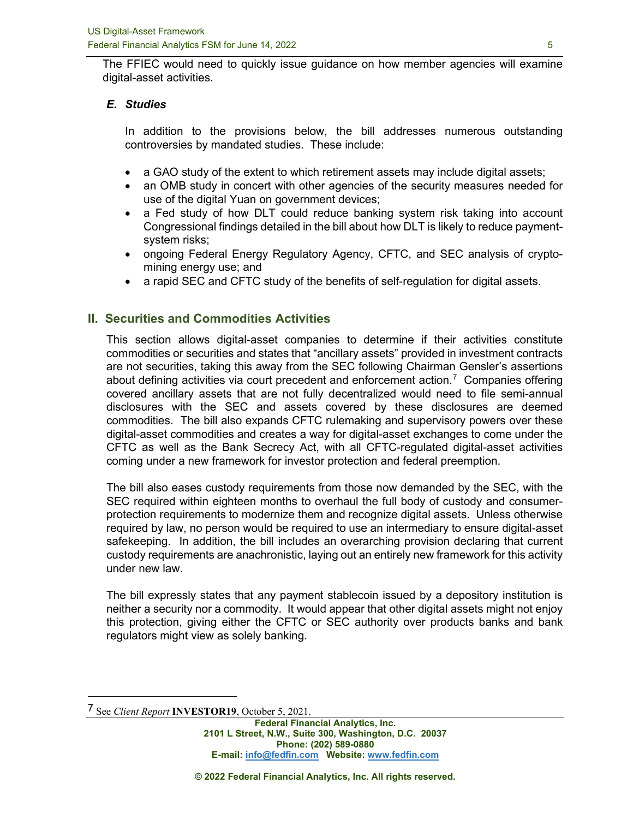The FFIEC would need to quickly issue guidance on how member agencies will examine digital-asset activities.

# *E. Studies*

In addition to the provisions below, the bill addresses numerous outstanding controversies by mandated studies. These include:

- a GAO study of the extent to which retirement assets may include digital assets;
- an OMB study in concert with other agencies of the security measures needed for use of the digital Yuan on government devices;
- a Fed study of how DLT could reduce banking system risk taking into account Congressional findings detailed in the bill about how DLT is likely to reduce paymentsystem risks;
- ongoing Federal Energy Regulatory Agency, CFTC, and SEC analysis of cryptomining energy use; and
- a rapid SEC and CFTC study of the benefits of self-regulation for digital assets.

# **II. Securities and Commodities Activities**

This section allows digital-asset companies to determine if their activities constitute commodities or securities and states that "ancillary assets" provided in investment contracts are not securities, taking this away from the SEC following Chairman Gensler's assertions about defining activities via court precedent and enforcement action.<sup>[7](#page-4-0)</sup> Companies offering covered ancillary assets that are not fully decentralized would need to file semi-annual disclosures with the SEC and assets covered by these disclosures are deemed commodities. The bill also expands CFTC rulemaking and supervisory powers over these digital-asset commodities and creates a way for digital-asset exchanges to come under the CFTC as well as the Bank Secrecy Act, with all CFTC-regulated digital-asset activities coming under a new framework for investor protection and federal preemption.

The bill also eases custody requirements from those now demanded by the SEC, with the SEC required within eighteen months to overhaul the full body of custody and consumerprotection requirements to modernize them and recognize digital assets. Unless otherwise required by law, no person would be required to use an intermediary to ensure digital-asset safekeeping. In addition, the bill includes an overarching provision declaring that current custody requirements are anachronistic, laying out an entirely new framework for this activity under new law.

The bill expressly states that any payment stablecoin issued by a depository institution is neither a security nor a commodity. It would appear that other digital assets might not enjoy this protection, giving either the CFTC or SEC authority over products banks and bank regulators might view as solely banking.

<span id="page-4-0"></span><sup>7</sup> See *Client Report* **INVESTOR19**, October 5, 2021.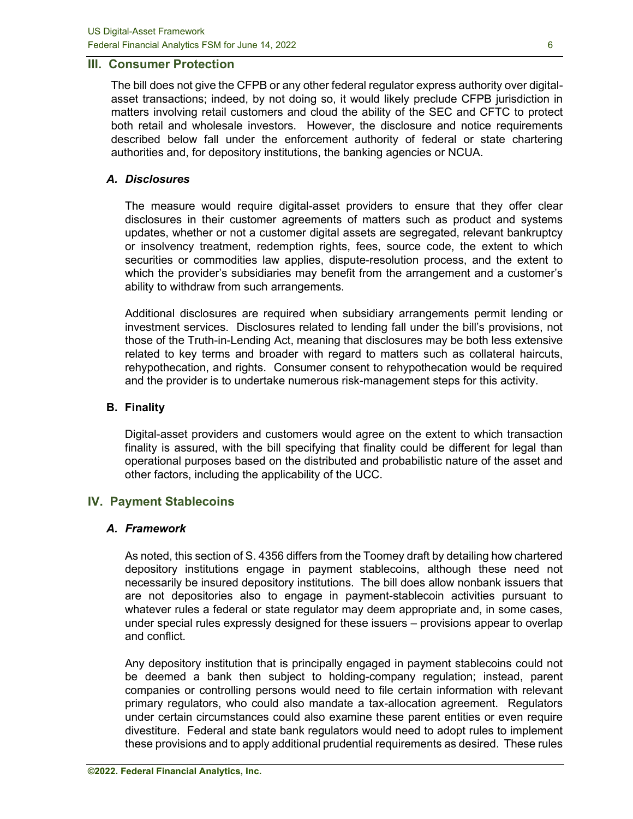#### **III. Consumer Protection**

The bill does not give the CFPB or any other federal regulator express authority over digitalasset transactions; indeed, by not doing so, it would likely preclude CFPB jurisdiction in matters involving retail customers and cloud the ability of the SEC and CFTC to protect both retail and wholesale investors. However, the disclosure and notice requirements described below fall under the enforcement authority of federal or state chartering authorities and, for depository institutions, the banking agencies or NCUA.

#### *A. Disclosures*

The measure would require digital-asset providers to ensure that they offer clear disclosures in their customer agreements of matters such as product and systems updates, whether or not a customer digital assets are segregated, relevant bankruptcy or insolvency treatment, redemption rights, fees, source code, the extent to which securities or commodities law applies, dispute-resolution process, and the extent to which the provider's subsidiaries may benefit from the arrangement and a customer's ability to withdraw from such arrangements.

Additional disclosures are required when subsidiary arrangements permit lending or investment services. Disclosures related to lending fall under the bill's provisions, not those of the Truth-in-Lending Act, meaning that disclosures may be both less extensive related to key terms and broader with regard to matters such as collateral haircuts, rehypothecation, and rights. Consumer consent to rehypothecation would be required and the provider is to undertake numerous risk-management steps for this activity.

#### **B. Finality**

Digital-asset providers and customers would agree on the extent to which transaction finality is assured, with the bill specifying that finality could be different for legal than operational purposes based on the distributed and probabilistic nature of the asset and other factors, including the applicability of the UCC.

## **IV. Payment Stablecoins**

## *A. Framework*

As noted, this section of S. 4356 differs from the Toomey draft by detailing how chartered depository institutions engage in payment stablecoins, although these need not necessarily be insured depository institutions. The bill does allow nonbank issuers that are not depositories also to engage in payment-stablecoin activities pursuant to whatever rules a federal or state regulator may deem appropriate and, in some cases, under special rules expressly designed for these issuers – provisions appear to overlap and conflict.

Any depository institution that is principally engaged in payment stablecoins could not be deemed a bank then subject to holding-company regulation; instead, parent companies or controlling persons would need to file certain information with relevant primary regulators, who could also mandate a tax-allocation agreement. Regulators under certain circumstances could also examine these parent entities or even require divestiture. Federal and state bank regulators would need to adopt rules to implement these provisions and to apply additional prudential requirements as desired. These rules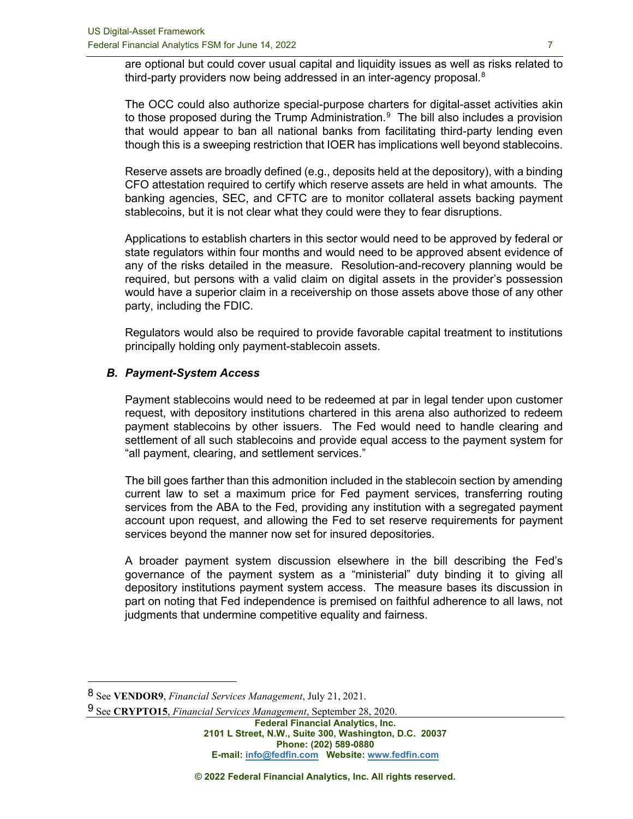are optional but could cover usual capital and liquidity issues as well as risks related to third-party providers now being addressed in an inter-agency proposal. $^8$  $^8$ 

The OCC could also authorize special-purpose charters for digital-asset activities akin to those proposed during the Trump Administration. $9$  The bill also includes a provision that would appear to ban all national banks from facilitating third-party lending even though this is a sweeping restriction that IOER has implications well beyond stablecoins.

Reserve assets are broadly defined (e.g., deposits held at the depository), with a binding CFO attestation required to certify which reserve assets are held in what amounts. The banking agencies, SEC, and CFTC are to monitor collateral assets backing payment stablecoins, but it is not clear what they could were they to fear disruptions.

Applications to establish charters in this sector would need to be approved by federal or state regulators within four months and would need to be approved absent evidence of any of the risks detailed in the measure. Resolution-and-recovery planning would be required, but persons with a valid claim on digital assets in the provider's possession would have a superior claim in a receivership on those assets above those of any other party, including the FDIC.

Regulators would also be required to provide favorable capital treatment to institutions principally holding only payment-stablecoin assets.

#### *B. Payment-System Access*

Payment stablecoins would need to be redeemed at par in legal tender upon customer request, with depository institutions chartered in this arena also authorized to redeem payment stablecoins by other issuers. The Fed would need to handle clearing and settlement of all such stablecoins and provide equal access to the payment system for "all payment, clearing, and settlement services."

The bill goes farther than this admonition included in the stablecoin section by amending current law to set a maximum price for Fed payment services, transferring routing services from the ABA to the Fed, providing any institution with a segregated payment account upon request, and allowing the Fed to set reserve requirements for payment services beyond the manner now set for insured depositories.

A broader payment system discussion elsewhere in the bill describing the Fed's governance of the payment system as a "ministerial" duty binding it to giving all depository institutions payment system access. The measure bases its discussion in part on noting that Fed independence is premised on faithful adherence to all laws, not judgments that undermine competitive equality and fairness.

<span id="page-6-1"></span>9 See **CRYPTO15**, *Financial Services Management*, September 28, 2020.

<span id="page-6-0"></span><sup>8</sup> See **VENDOR9**, *Financial Services Management*, July 21, 2021.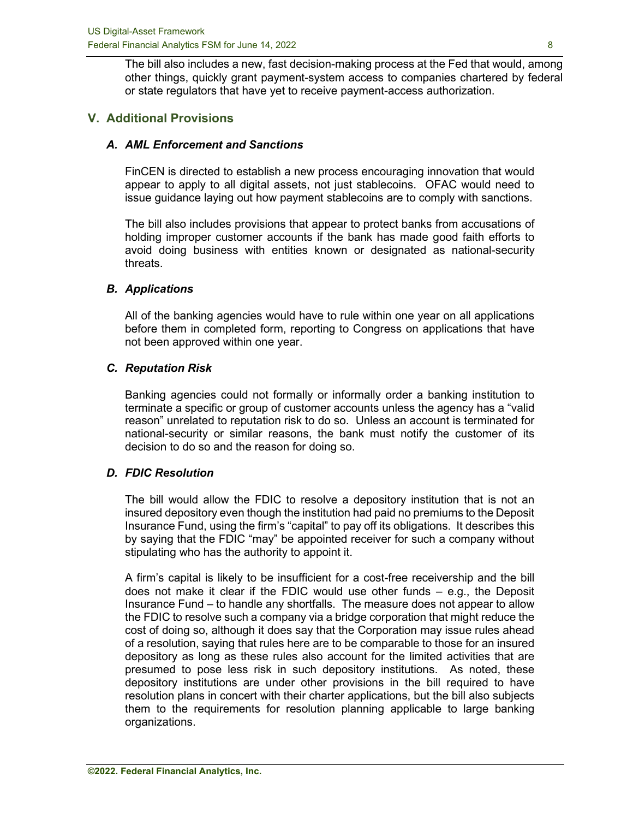The bill also includes a new, fast decision-making process at the Fed that would, among other things, quickly grant payment-system access to companies chartered by federal or state regulators that have yet to receive payment-access authorization.

# **V. Additional Provisions**

#### *A. AML Enforcement and Sanctions*

FinCEN is directed to establish a new process encouraging innovation that would appear to apply to all digital assets, not just stablecoins. OFAC would need to issue guidance laying out how payment stablecoins are to comply with sanctions.

The bill also includes provisions that appear to protect banks from accusations of holding improper customer accounts if the bank has made good faith efforts to avoid doing business with entities known or designated as national-security threats.

#### *B. Applications*

All of the banking agencies would have to rule within one year on all applications before them in completed form, reporting to Congress on applications that have not been approved within one year.

#### *C. Reputation Risk*

Banking agencies could not formally or informally order a banking institution to terminate a specific or group of customer accounts unless the agency has a "valid reason" unrelated to reputation risk to do so. Unless an account is terminated for national-security or similar reasons, the bank must notify the customer of its decision to do so and the reason for doing so.

## *D. FDIC Resolution*

The bill would allow the FDIC to resolve a depository institution that is not an insured depository even though the institution had paid no premiums to the Deposit Insurance Fund, using the firm's "capital" to pay off its obligations. It describes this by saying that the FDIC "may" be appointed receiver for such a company without stipulating who has the authority to appoint it.

A firm's capital is likely to be insufficient for a cost-free receivership and the bill does not make it clear if the FDIC would use other funds – e.g., the Deposit Insurance Fund – to handle any shortfalls. The measure does not appear to allow the FDIC to resolve such a company via a bridge corporation that might reduce the cost of doing so, although it does say that the Corporation may issue rules ahead of a resolution, saying that rules here are to be comparable to those for an insured depository as long as these rules also account for the limited activities that are presumed to pose less risk in such depository institutions. As noted, these depository institutions are under other provisions in the bill required to have resolution plans in concert with their charter applications, but the bill also subjects them to the requirements for resolution planning applicable to large banking organizations.